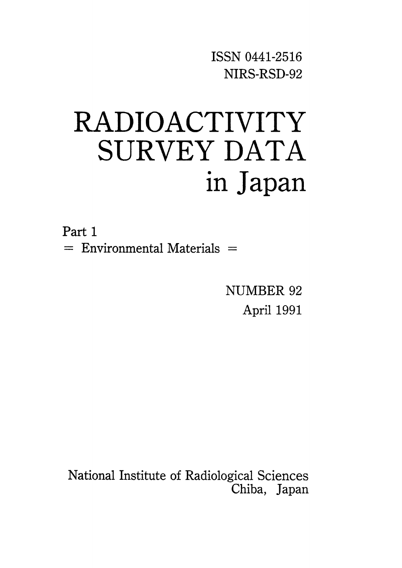ISSNO441-2516 NIRS-RSD-92

# RADIOACTIVITY SURVEY DATA in Japan

Part 1  $=$  Environmental Materials  $=$ 

> NUMBER 92 April 1991

National Institute of Radiological Sciences Chiba, Japan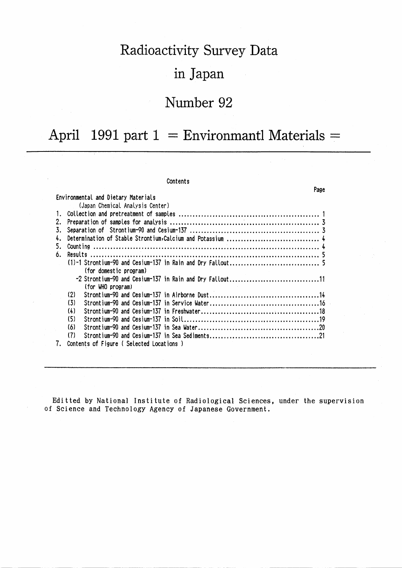# Radioactivity Survey Data

## in Japan

## Number 92

# April 1991 part  $1 =$  Environmantl Materials =

|    | Contents                                                 |      |
|----|----------------------------------------------------------|------|
|    |                                                          | Page |
|    | Environmental and Dietary Materials                      |      |
|    | (Japan Chemical Analysis Center)                         |      |
|    |                                                          |      |
| 2. |                                                          |      |
| 3. |                                                          |      |
| 4. |                                                          |      |
| 5. |                                                          |      |
| 6. |                                                          |      |
|    |                                                          |      |
|    | (for domestic program)                                   |      |
|    | -2 Strontium-90 and Cesium-137 in Rain and Dry Fallout11 |      |
|    | (for WHO program)                                        |      |
|    | (2)                                                      |      |
|    | (3)                                                      |      |
|    | (4)                                                      |      |
|    | (5)                                                      |      |
|    | (6)                                                      |      |
|    | (7)                                                      |      |
| 7. | Contents of Figure (Selected Locations)                  |      |

Editted by National Institute of Radiological Sciences, under the supervision of Science and Technology Agency of Japanese Government.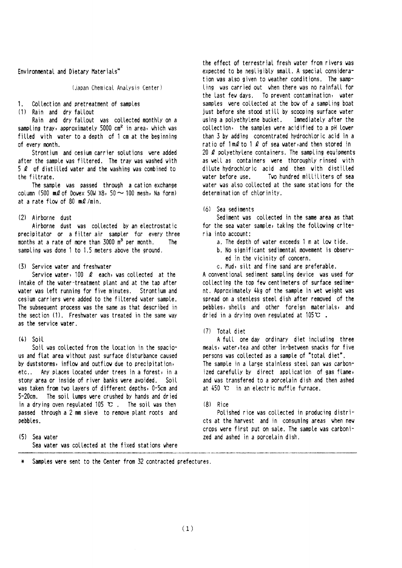Environmental and Dietary Materials\*

(Japan Chemical Analysis Center)

#### $1<sup>1</sup>$ Collection and pretreatment of samples

(1) Rain and dry fallout

Rain and dry fallout was collected monthly on a sampling tray, approximately 5000 cm<sup>2</sup> in area, which was filled with water to a depth of 1 cm at the beginning of every month.

Strontium and cesium carrier solutions were added after the sample was filtered. The tray was washed with 5 Q of distilled water and the washing was combined to the filtrate.

The sample was passed through a cation exchange column (500  $m\ell$  of Dowex 50W X8, 50  $\sim$  100 mesh, Na form) at a rate flow of 80 ml/min.

#### (2) Airborne dust

Airborne dust was collected by an electrostatic precipitator or a filter air sampler for every three months at a rate of more than  $3000 \text{ m}^3$  per month. The sampling was done 1 to 1.5 meters above the ground.

#### (3) Service water and freshwater

Service water, 100  $\ell$  each, was collected at the intake of the water-treatment plant and at the tap after water was left running for five minutes. Strontium and cesium carriers were added to the filtered water sample. The subsequent process was the same as that described in the section (1). Freshwater was treated in the same way as the service water.

#### $(4)$  Soil

Soil was collected from the location in the spacious and flat area without past surface disturbance caused by duststorms, inflow and outflow due to precipitation, etc.. Any places located under trees in a forest, in a stony area or inside of river banks were avoided. Soil was taken from two layers of different depths, 0-5cm and 5-20cm. The soil lumps were crushed by hands and dried in a drying oven regulated 105  $\infty$ . The soil was then passed through a 2 mm sieve to remove plant roots and pebbles.

(5) Sea water Sea water was collected at the fixed stations where the effect of terrestrial fresh water from rivers was expected to be negligibly small. A special consideration was also given to weather conditions. The sampling was carried out when there was no rainfall for the last few days. To prevent contamination, water samples were collected at the boy of a sampling boat just before she stood still by scooping surface water using a polyethylene bucket. Immediately after the collection, the samples were acidified to a pH lower than 3 by adding concentrated hydrochloric acid in a ratio of  $1 \text{ m2}$  to 1  $2$  of sea water, and then stored in 20  $\ell$  polyethylene containers. The sampling equipments as well as containers were thoroughly rinsed with dilute hydrochloric acid and then with distilled water before use. Two hundred milliliters of sea water was also collected at the same stations for the determination of chlorinity.

#### $(6)$  Sea sediments

Sediment was collected in the same area as that for the sea water sample, taking the following criteria into account:

- a. The depth of water exceeds 1 m at low tide.
- b. No significant sedimental movement is observed in the vicinity of concern.
- c. Mud, silt and fine sand are preferable.

A conventional sediment sampling device was used for collecting the top few centimeters of surface sediment. Approximately 4kg of the sample in wet weight was spread on a stenless steel dish after removed of the pebbles, shells and other foreign materials, and dried in a drying oven regulated at  $105^{\circ}$ .

#### (7) Total diet

A full one day ordinary diet including three meals, water, tea and other in-between snacks for five persons was collected as a sample of "total diet". The sample in a large stainless steel pan was carbonized carefully by direct application of gas flame, and was transfered to a porcelain dish and then ashed at 450 ℃ in an electric muffle furnace.

### $(8)$  Rice

Polished rice was collected in producing districts at the harvest and in consuming areas when new crops were first put on sale. The sample was carbonized and ashed in a porcelain dish.

Samples were sent to the Center from 32 contracted prefectures.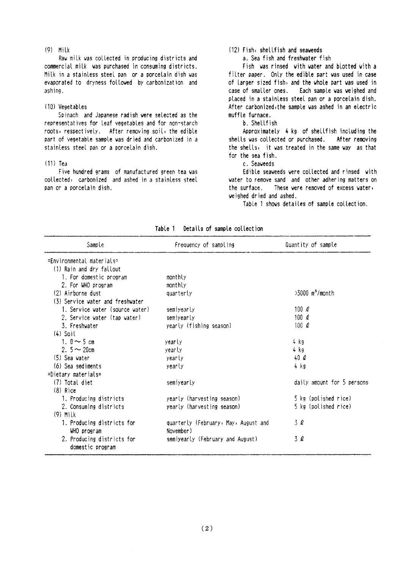#### $(9)$  Milk

Raw milk was collected in producing districts and commercial milk was purchased in consuming districts. Milk in a stainless steel pan or a porcelain dish was evaporated to dryness followed by carbonization and ashing.

#### (10) Vegetables

Spinach and Japanese radish were selected as the representatives for leaf vegetables and for non-starch roots, respectively. After removing soil, the edible part of vegetable sample was dried and carbonized in a stainless steel pan or a porcelain dish.

### $(11)$  Tea

Five hundred grams of manufactured green tea was collected, carbonized and ashed in a stainless steel pan or a porcetain dish.

### (12) Fish, shellfish and seaveeds

a. Sea fish and freshwater fish

Fish was rinsed with water and blotted with a filter paper. Only the edible part was used in case of larger sized fish, and the whole part was used in case of smaller ones. Each sample was weighed and placed in a stainless steel pan or a porcelain dish. After carbonized, the sample was ashed in an electric muffle furnace.

#### b. Shellfish

Approximately 4 kg of shellfish including the shells was collected or purchased. After removing the shells, it was treated in the same way as that for the sea fish.

c. Seaveeds

Edible seaweeds were collected and rinsed with water to remove sand and other adhering matters on the surface. These were removed of excess water, weighed dried and ashed.

Table 1 shows detailes of sample collection.

| Sample                                         | Frequency of sampling                | Quantity of sample            |
|------------------------------------------------|--------------------------------------|-------------------------------|
| ≃Environmental materials≈                      |                                      |                               |
| (1) Rain and dry fallout                       |                                      |                               |
| 1. For domestic program                        | monthly                              |                               |
| 2. For WHO program                             | monthly                              |                               |
| (2) Airborne dust                              | quarterly                            | $>3000$ m <sup>3</sup> /month |
| (3) Service water and freshwater               |                                      |                               |
| 1. Service water (source water)                | semiyearly                           | 100 $\ell$                    |
| 2. Service water (tap water)                   | semiyearly                           | 100 $\ell$                    |
| 3. Freshvater                                  | yearly (fishing season)              | 100 $\rho$                    |
| $(4)$ Soil                                     |                                      |                               |
| 1. $0 \sim 5$ cm                               | yearly                               | 4 kg                          |
| 2. $5 - 20$ cm                                 | <i>vearly</i>                        | $4$ kg                        |
| $(5)$ Sea vater                                | yearly                               | 40 $\ell$                     |
| (6) Sea sediments                              | yearly                               | 4 kg                          |
| $=$ Dietary materials $=$                      |                                      |                               |
| (7) Total diet                                 | semiyearly                           | daily amount for 5 persons    |
| $(8)$ Rice                                     |                                      |                               |
| 1. Producing districts                         | yearly (harvesting season)           | 5 kg (polished rice)          |
| 2. Consuming districts                         | yearly (harvesting season)           | 5 kg (polished rice)          |
| $(9)$ Milk                                     |                                      |                               |
| 1. Producing districts for                     | quarterly (February, May, August and | 3Q                            |
| WHO program                                    | November)                            |                               |
| 2. Producing districts for<br>domestic program | semiyearly (February and August)     | 3 Q                           |

Table 1 Details of sample collection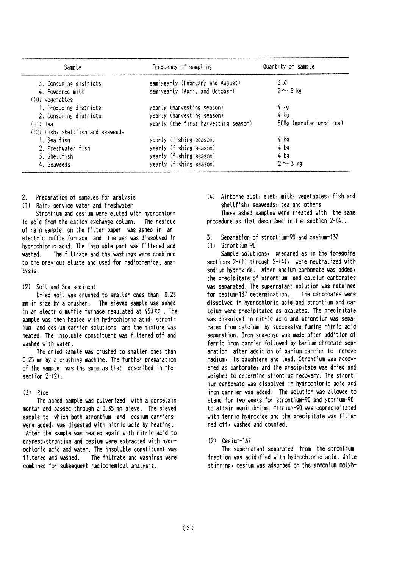| Sample                            | Frequency of sampling                | Quantity of sample      |
|-----------------------------------|--------------------------------------|-------------------------|
| 3. Consuming districts            | semiyearly (February and August)     | 3 l                     |
| 4. Powdered milk                  | semiyearly (April and October)       | $2 \sim 3$ kg           |
| (10) Vegetables                   |                                      |                         |
| 1. Producing districts            | yearly (harvesting season)           | 4 kg                    |
| 2. Consuming districts            | yearly (harvesting season)           | 4 kg                    |
| $(11)$ Tea                        | yearly (the first harvesting season) | 500g (manufactured tea) |
| (12) Fish, shellfish and seaveeds |                                      |                         |
| 1. Sea fish                       | yearly (fishing season)              | 4 kg                    |
| 2. Freshvater fish                | yearly (fishing season)              | 4 kg                    |
| 3. Shellfish                      | yearly (fishing season)              | 4 kg                    |
| 4. Seaveeds                       | yearly (fishing season)              | $2 \sim 3$ kg           |

- $2<sup>1</sup>$ Preparation of samples for analysis
- (1) Rain, service vater and freshvater

Strontium and cesium were eluted with hydrochloric acid from the cation exchange column. The residue of rain sample on the filter paper was ashed in an electric muffle furnace and the ash was dissolved in hydrochloric acid. The insoluble part was filtered and The filtrate and the washings were combined uashed to the previous eluate and used for radiochemical analysis.

#### (2) Soil and Sea sediment

Dried soil was crushed to smaller ones than 0.25 mm in size by a crusher. The sieved sample was ashed in an electric muffle furnace regulated at  $450^{\circ}$  . The sample was then heated with hydrochloric acid, strontjum and cesium carrier solutions and the mixture was heated. The insoluble constituent was filtered off and washed with water.

The dried sample was crushed to smaller ones than 0.25 mm by a crushing machine. The further preparation of the sample was the same as that described in the section  $2-(2)$ .

#### $(3)$  Rice

The ashed sample was pulverized with a porcelain mortar and passed through a 0.35 mm sieve. The sieved sample to which both strontium and cesium carriers were added, was digested with nitric acid by heating. After the sample was heated again with nitric acid to dryness, strontium and cesium were extracted with hydrochloric acid and water. The insoluble constituent was filtered and washed. The filtrate and washings were combined for subsequent radiochemical analysis.

(4) Airborne dust, diet, milk, vegetables, fish and shellfish, seaweeds, tea and others

These ashed samples were treated with the same procedure as that described in the section  $2-(4)$ .

Separation of strontium-90 and cesium-137  $\mathbf{z}$ 

#### (1) Strontium-90

Sample solutions, prepared as in the foregoing sections  $2-(1)$  through  $2-(4)$ , were neutralized with sodium hydroxide. After sodium carbonate was added, the precipitate of strontium and calcium carbonates was separated. The supernatant solution was retained for cesium-137 determination. The carbonates vere dissolved in hydrochloric acid and strontium and catoium were precipitated as oxalates. The precipitate was dissolved in nitric acid and strontium was separated from calcium by successive fuming nitric acid separation. Iron scavenge was made after addition of ferric iron carrier followed by barium chromate separation after addition of barium carrier to remove radium, its daughters and lead. Strontium was recovered as carbonate, and the precipitate was dried and veighed to determine strontium recovery. The strontjum carbonate was dissolved in hydrochloric acid and iron carrier was added. The solution was allowed to stand for two weeks for strontium-90 and yttrium-90 to attain equilibrium. Yttrium-90 was coprecipitated with ferric hydroxide and the precipitate was filtered off, washed and counted.

#### $(2)$  Cesium-137

The supernatant separated from the strontium fraction was acidified with hydrochloric acid. While stirring, cesium was adsorbed on the ammonium molyb-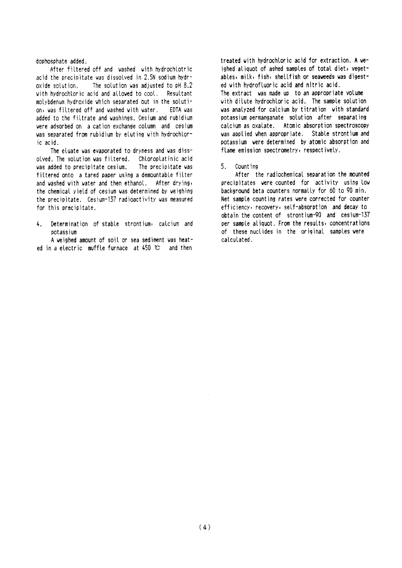#### dophosphate added.

After filtered off and washed with hydrochlotric acid the precipitate was dissolved in 2.5N sodium hydr-The solution was adjusted to pH 8.2 oxide solution. with hydrochloric acid and allowed to cool. Resultant molybdenum hydroxide which separated out in the solution, was filtered off and washed with water. EDTA vas added to the filtrate and washings. Cesium and rubidium were adsorbed on a cation exchange column and cesium was separated from rubidium by eluting with hydrochloric acid.

The eluate was evaporated to dryness and was dissolved. The solution was filtered. Chloroplatinic acid was added to precipitate cesium. The precipitate was filtered onto a tared paper using a demountable filter and washed with water and then ethanol. After drying, the chemical yield of cesium was determined by weighing the precipitate. Cesium-137 radioactivity was measured for this precipitate.

Determination of stable strontium, calcium and  $\mathbf{A}$ potassium

A weighed amount of soil or sea sediment was heated in a electric muffle furnace at 450 °C and then

treated with hydrochloric acid for extraction. A weighed aliquot of ashed samples of total diet, yegetables, milk, fish, shellfish or seaweeds was digested with hydrofluoric acid and nitric acid.

The extract was made up to an appropriate volume with dilute hydrochloric acid. The sample solution was analyzed for calcium by titration with standard potassium permanganate solution after separating calcium as oxalate. Atomic absorption spectroscopy was applied when appropriate. Stable strontium and potassium were determined by atomic absorption and flame emission spectrometry, respectively.

#### 5. Counting

After the radiochemical separation the mounted precipitates were counted for activity using low background beta counters normally for 60 to 90 min. Net sample counting rates were corrected for counter efficiency, recovery, self-absorption and decay to obtain the content of strontium-90 and cesium-137 per sample aliquot. From the results, concentrations of these nuclides in the original samples were calculated.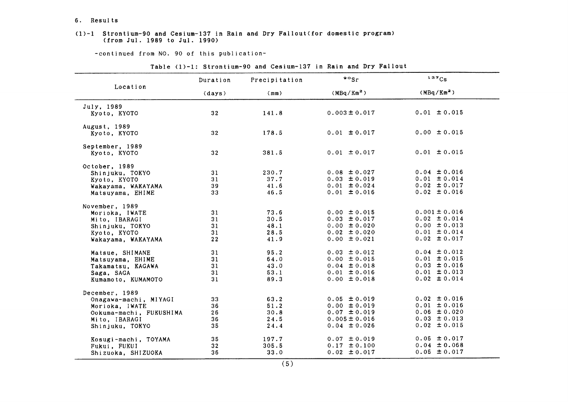#### 6. Results

#### $(1)-1$  Strontium-90 and Cesium-137 in Rain and Dry Fallout(for domestic program) (from Jul. 1989 to Jul. 1990)

-COntinued from NO.90 0f this publication-

|                            | Duration        | Precipitation | $\circ$ sr             | 137Cs                  |
|----------------------------|-----------------|---------------|------------------------|------------------------|
| Location                   | (days)          | (mm)          | (MBq/Km <sup>2</sup> ) | (MBq/Km <sup>2</sup> ) |
| July, 1989<br>Kyoto, KYOTO | 32              | 141.8         | $0.003 \pm 0.017$      | $0.01 \pm 0.015$       |
| August, 1989               |                 |               |                        |                        |
| Kyoto, KYOTO               | 32              | 178.5         | $0.01 \pm 0.017$       | $0.00 \pm 0.015$       |
| September, 1989            |                 |               |                        |                        |
| Kyoto, KYOTO               | 32              | 381.5         | $0.01 \pm 0.017$       | $0.01 \pm 0.015$       |
| October, 1989              |                 |               |                        |                        |
| Shinjuku, TOKYO            | 31              | 230.7         | $0.08 \pm 0.027$       | $0.04 \pm 0.016$       |
| Kyoto, KYOTO               | 31              | 37.7          | $0.03 \pm 0.019$       | $0.01 \pm 0.014$       |
| Wakayama, WAKAYAMA         | 39              | 41.6          | $0.01 \pm 0.024$       | $0.02 \pm 0.017$       |
| Matsuyama, EHIME           | 33              | 46.5          | $0.01 \pm 0.016$       | $0.02 \pm 0.016$       |
| November, 1989             |                 |               |                        |                        |
| Morioka, IWATE             | 31              | 73.6          | $0.00 \pm 0.015$       | $0.001 \pm 0.016$      |
| Mito, IBARAGI              | 31              | 30.5          | $0.03 \pm 0.017$       | $0.02 \pm 0.014$       |
| Shinjuku, TOKYO            | 31              | 48.1          | $0.00 \pm 0.020$       | $0.00 \pm 0.013$       |
| Kyoto, KYOTO               | 31              | 28.5          | $0.02 \pm 0.020$       | $0.01 \pm 0.014$       |
| Wakayama, WAKAYAMA         | 22              | 41.9          | $0.00 \pm 0.021$       | $0.02 \pm 0.017$       |
| Matsue, SHIMANE            | 31              | 95.2          | $0.03 \pm 0.012$       | $0.04 \pm 0.012$       |
| Matsuyama, EHIME           | 31              | 64.0          | $0.00 \pm 0.015$       | $0.01 \pm 0.015$       |
| Takamatsu, KAGAWA          | 31              | 43.0          | $0.04 \pm 0.018$       | $0.03 \pm 0.016$       |
| Saga, SAGA                 | 31              | 53.1          | $0.01 \pm 0.016$       | $0.01 \pm 0.013$       |
| Kumamoto, KUMAMOTO         | 31              | 89.3          | $0.00 \pm 0.018$       | $0.02 \pm 0.014$       |
| December, 1989             |                 |               |                        |                        |
| Onagawa-machi, MIYAGI      | 33              | 63.2          | $0.05 \pm 0.019$       | $0.02 \pm 0.016$       |
| Morioka, IWATE             | 36              | 51.2          | $0.00 \pm 0.019$       | $0.01 \pm 0.016$       |
| Ookuma-machi, FUKUSHIMA    | 26              | 30.8          | $0.07 \pm 0.019$       | $0.06 \pm 0.020$       |
| Mito, IBARAGI              | 36              | 24.5          | $0.005 \pm 0.016$      | $0.03 \pm 0.013$       |
| Shinjuku, TOKYO            | 35              | 24.4          | $0.04 \pm 0.026$       | $0.02 \pm 0.015$       |
| Kosugi-machi, TOYAMA       | 35              | 197.7         | $0.07 \pm 0.019$       | $0.05 \pm 0.017$       |
| Fukui, FUKUI               | 32 <sub>2</sub> | 305.5         | $0.17 \pm 0.100$       | $0.04 \pm 0.068$       |
| Shizuoka, SHIZUOKA         | 36              | 33.0          | $0.02 \pm 0.017$       | $0.05 \pm 0.017$       |

Table (1)-1: Strontium-90 and Cesium-137 in Rain and Dry Fallout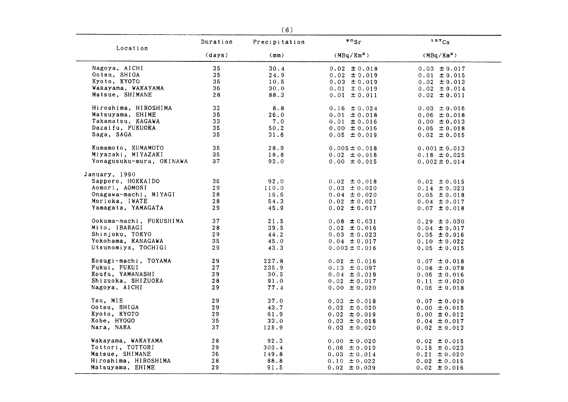|                          | Duration     | Precipitation | $\cdot \cdot$          | 137Cs                  |
|--------------------------|--------------|---------------|------------------------|------------------------|
| Location                 | (days)       | (mm)          | (MBq/Km <sup>2</sup> ) | (MBq/Km <sup>2</sup> ) |
| Nagoya, AICHI            | 35           | 30.4          | $0.02 \pm 0.018$       | $0.03 \pm 0.017$       |
| Ootsu, SHIGA             | 35           | 24.9          | $0.02 \pm 0.019$       | $0.01 \pm 0.015$       |
| Kyoto, KYOTO             | 35           | 10.5          | $0.03 \pm 0.019$       | $0.02 \pm 0.013$       |
| Wakayama, WAKAYAMA       | 36           | 30.0          | $0.01 \pm 0.019$       | $0.02 \pm 0.014$       |
| Matsue, SHIMANE          | 28           | 88.3          | $0.01 \pm 0.011$       | $0.02 \pm 0.011$       |
|                          |              |               |                        |                        |
| Hiroshima, HIROSHIMA     | 32           | 8.8           | $0.16 \pm 0.024$       | $0.03 \pm 0.016$       |
| Matsuyama, EHIME         | 35           | 26.0          | $0.01 \pm 0.018$       | $0.06 \pm 0.018$       |
| Takamatsu, KAGAWA        | 33           | 7.0           | $0.01 \pm 0.016$       | $0.00 \pm 0.013$       |
| Dazaifu, FUKUOKA         | 35           | 50.2          | $0.00 \pm 0.016$       | $0.05 \pm 0.018$       |
| Saga, SAGA               | 35           | 31.6          | $0.05 \pm 0.019$       | $0.02 \pm 0.015$       |
| Kumamoto, KUMAMOTO       | 35           | 28.9          | $0.005 \pm 0.018$      | $0.001 \pm 0.013$      |
| Miyazaki, MIYAZAKI       | 35           | 18.8          | $0.02 \pm 0.018$       | $0.18 \pm 0.025$       |
| Yonagusuku-mura, OKINAWA | 37           | 93.0          | $0.00 \pm 0.015$       | $0.002 \pm 0.014$      |
|                          |              |               |                        |                        |
| January, 1990            |              |               |                        |                        |
| Sapporo, HOKKAIDO        | 36           | 92.0          | $0.02 \pm 0.018$       | $0.02 \pm 0.015$       |
| Aomori, AOMORI           | 29           | 110.0         | $0.03 \pm 0.020$       | $0.14 \pm 0.023$       |
| Onagawa-machi, MIYAGI    | 28           | 16.6          | $0.04 \pm 0.020$       | $0.05 \pm 0.018$       |
| Morioka, IWATE           | 28           | 54.3          | $0.02 \pm 0.021$       | $0.04 \pm 0.017$       |
| Yamagata, YAMAGATA       | 29           | 45.9          | $0.02 \pm 0.017$       | $0.07 \pm 0.018$       |
| Ookuma-machi, FUKUSHIMA  | 37           | 21.5          | $0.08 \pm 0.031$       | $0.29 \pm 0.030$       |
| Mito, IBARAGI            | 28           | 39.5          | $0.02 \pm 0.016$       | $0.04 \pm 0.017$       |
| Shinjuku, TOKYO          | 29           | 44.2          | $0.03 \pm 0.023$       | $0.05 \pm 0.016$       |
| Yokohama, KANAGAWA       | 35           | 45.0          | $0.04 \pm 0.017$       | $0.10 \pm 0.022$       |
| Utsunomiya, TOCHIGI      | 29.          | 43.3          | $0.003 \pm 0.016$      | $0.05 \pm 0.015$       |
|                          |              |               |                        |                        |
| Kosugi-machi, TOYAMA     | 29           | 227.8         | $0.02 \pm 0.016$       | $0.07 \pm 0.018$       |
| Fukui, FUKUI             | 27           | 235.9         | $0.13 \pm 0.097$       | $0.08 \pm 0.078$       |
| Koufu, YAMANASHI         | 29           | 30.5          | $0.04 \pm 0.019$       | $0.05 \pm 0.016$       |
| Shizuoka, SHIZUOKA       | 28           | 91.0          | $0.02 \pm 0.017$       | $0.11 \pm 0.020$       |
| Nagoya, AICHI            | 29           | 77.4          | $0.00 \pm 0.020$       | $0.05 \pm 0.018$       |
| Tsu, MIE                 | 29           | 37.0          | $0.03 \pm 0.018$       | $0.07 \pm 0.019$       |
| Ootsu, SHIGA             | 29           | 43.7          | $0.02 \pm 0.020$       | $0.00 \pm 0.015$       |
| Kyoto, KYOTO             | 29           | 61.9          | $0.02 \pm 0.019$       | $0.00 \pm 0.012$       |
| Kobe, HYOGO              | 35           | 33.0          | $0.03 \pm 0.018$       | $0.04 \pm 0.017$       |
| Nara, NARA               | 37           | 125.9         | $0.03 \pm 0.020$       | $0.02 \pm 0.013$       |
|                          |              |               |                        |                        |
| Wakayama, WAKAYAMA       | $\sqrt{2}$ 8 | 92.3          | $0.00 \pm 0.020$       | $0.02 \pm 0.015$       |
| Tottori, TOTTORI         | 29           | 303.4         | $0.06 \pm 0.019$       | $0.15 \pm 0.023$       |
| Matsue, SHIMANE          | 36           | 149.8         | $0.03 \pm 0.014$       | $0.21 \pm 0.020$       |
| Hiroshima, HIROSHIMA     | 28           | 88.8          | $0.10 \pm 0.022$       | $0.02 \pm 0.015$       |
| Matsuyama, EHIME         | 29           | 91.5          | $0.02 \pm 0.039$       | $0.02 \pm 0.016$       |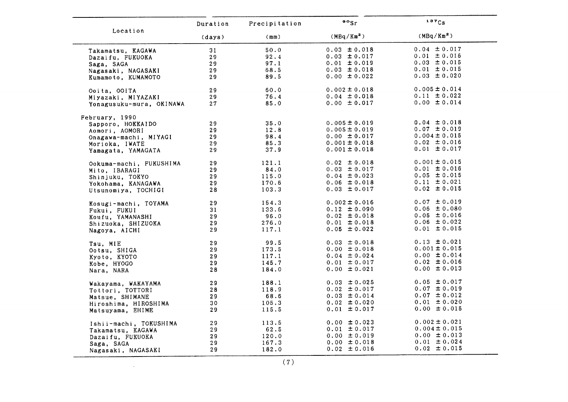|                          | Duration | Precipitation | $\circ \circ$ sr       | $137C_S$               |
|--------------------------|----------|---------------|------------------------|------------------------|
| Location                 | (days)   | (mm)          | (MBq/Km <sup>2</sup> ) | (MBq/Km <sup>2</sup> ) |
| Takamatsu, KAGAWA        | 31       | 50.0          | $0.03 \pm 0.018$       | $0.04 \pm 0.017$       |
| Dazaifu, FUKUOKA         | 29       | 92.4          | $0.03 \pm 0.017$       | $0.01 \pm 0.016$       |
| Saga, SAGA               | 29       | 97.1          | $0.01 \pm 0.019$       | $0.03 \pm 0.015$       |
| Nagasaki, NAGASAKI       | 29       | 68.5          | $0.03 \pm 0.018$       | $0.01 \pm 0.015$       |
| Kumamoto, KUMAMOTO       | 29       | 89.5          | $0.00 \pm 0.022$       | $0.03 \pm 0.020$       |
| Ooita, OOITA             | 29       | 60.0          | $0.002 \pm 0.018$      | $0.005 \pm 0.014$      |
| Miyazaki, MIYAZAKI       | 29       | 76.4          | $0.04 \pm 0.018$       | $0.11 \pm 0.022$       |
| Yonagusuku-mura, OKINAWA | 27       | 85.0          | $0.00 \pm 0.017$       | $0.00 \pm 0.014$       |
| February, 1990           |          |               |                        |                        |
| Sapporo, HOKKAIDO        | 29       | 35.0          | $0.005 \pm 0.019$      | $0.04 \pm 0.018$       |
| Aomori, AOMORI           | 29       | 12.8          | $0.005 \pm 0.019$      | $0.07 \pm 0.019$       |
| Onagawa-machi, MIYAGI    | 29       | 98.4          | $0.00 \pm 0.017$       | $0.004 \pm 0.015$      |
| Morioka, IWATE           | 29       | 85.3          | $0.001 \pm 0.018$      | $0.02 \pm 0.016$       |
| Yamagata, YAMAGATA       | 29       | 37.9          | $0.001 \pm 0.018$      | $0.01 \pm 0.017$       |
| Ookuma-machi, FUKUSHIMA  | 29       | 121.1         | $0.02 \pm 0.018$       | $0.001 \pm 0.015$      |
| Mito, IBARAGI            | 29       | 84.0          | $0.03 \pm 0.017$       | $0.01 \pm 0.016$       |
| Shinjuku, TOKYO          | 29       | 115.0         | $0.04 \pm 0.023$       | $0.05 \pm 0.015$       |
| Yokohama, KANAGAWA       | 29       | 170.6         | $0.06 \pm 0.018$       | $0.11 \pm 0.021$       |
| Utsunomiya, TOCHIGI      | 28       | 103.3         | $0.03 \pm 0.017$       | $0.02 \pm 0.015$       |
| Kosugi-machi, TOYAMA     | 29       | 154.3         | $0.002 \pm 0.016$      | $0.07 \pm 0.019$       |
| Fukui, FUKUI             | 31       | 133.6         | $0.12 \pm 0.090$       | $0.06 \pm 0.080$       |
| Koufu, YAMANASHI         | 29       | 96.0          | $0.02 \pm 0.018$       | $0.05 \pm 0.016$       |
| Shizuoka, SHIZUOKA       | 29       | 276.0         | $0.01 \pm 0.018$       | $0.06 \pm 0.022$       |
| Nagoya, AICHI            | 29       | 117.1         | $0.05 \pm 0.022$       | $0.01 \pm 0.015$       |
| Tsu, MIE                 | 29       | 99.5          | $0.03 \pm 0.018$       | $0.13 \pm 0.021$       |
| Ootsu, SHIGA             | 29       | 173.5         | $0.00 \pm 0.018$       | $0.001 \pm 0.015$      |
| Kyoto, KYOTO             | 29       | 117.1         | $0.04 \pm 0.024$       | $0.00 \pm 0.014$       |
| Kobe, HYOGO              | 29       | 145.7         | $0.01 \pm 0.017$       | $0.02 \pm 0.016$       |
| Nara, NARA               | 28       | 184.0         | $0.00 \pm 0.021$       | $0.00 \pm 0.013$       |
| Wakayama, WAKAYAMA       | 29       | 188.1         | $0.03 \pm 0.025$       | $0.05 \pm 0.017$       |
| Tottori, TOTTORI         | 28       | 118.9         | $0.02 \pm 0.017$       | $0.07 \pm 0.019$       |
| Matsue, SHIMANE          | 29       | 68.6          | $0.03 \pm 0.014$       | $0.07 \pm 0.012$       |
| Hiroshima, HIROSHIMA     | 30       | 105.3         | $0.02 \pm 0.020$       | $0.01 \pm 0.020$       |
| Matsuyama, EHIME         | 29       | 115.5         | $0.01 \pm 0.017$       | $0.00 \pm 0.015$       |
| Ishii-machi, TOKUSHIMA   | 29       | 113.5         | $0.00 \pm 0.023$       | $0.002 \pm 0.021$      |
| Takamatsu, KAGAWA        | 29       | 62.5          | $0.01 \pm 0.017$       | $0.004 \pm 0.015$      |
| Dazaifu, FUKUOKA         | 29       | 120.0         | $0.00 \pm 0.019$       | $0.00 \pm 0.013$       |
| Saga, SAGA               | 29       | 167.3         | $0.00 \pm 0.018$       | $0.01 \pm 0.024$       |
| Nagasaki, NAGASAKI       | 29       | 182.0         | $0.02 \pm 0.016$       | $0.02 \pm 0.015$       |

 $\label{eq:2.1} \mathcal{L}(\mathcal{L}^{\text{max}}_{\mathcal{L}}(\mathcal{L}^{\text{max}}_{\mathcal{L}}),\mathcal{L}^{\text{max}}_{\mathcal{L}}(\mathcal{L}^{\text{max}}_{\mathcal{L}}))$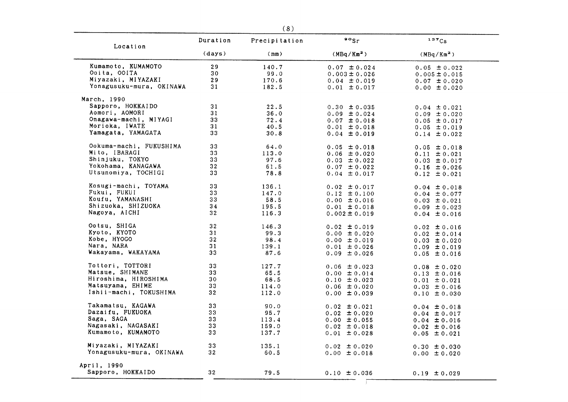| Location                 | Duration        | Precipitation | $\circ \circ$ <sub>Sr</sub> | 137Cs                                |
|--------------------------|-----------------|---------------|-----------------------------|--------------------------------------|
|                          | (days)          | (mm)          | (MBq/Km <sup>2</sup> )      | (MBq/Km <sup>2</sup> )               |
| Kumamoto, KUMAMOTO       | 29              | 140.7         | $0.07 \pm 0.024$            | $0.05 \pm 0.022$                     |
| Ooita, OOITA             | 30              | 99.0          | $0.003 \pm 0.026$           | $0.005 \pm 0.015$                    |
| Miyazaki, MIYAZAKI       | 29              | 170.6         | $0.04 \pm 0.019$            | $0.07 \pm 0.020$                     |
| Yonagusuku-mura, OKINAWA | 31              | 182.5         | $0.01 \pm 0.017$            | $0.00 \pm 0.020$                     |
| March, 1990              |                 |               |                             |                                      |
| Sapporo, HOKKAIDO        | 31              | 22.5          | $0.30 \pm 0.035$            | $0.04 \pm 0.021$                     |
| Aomori, AOMORI           | 31              | 36.0          | $0.09 \pm 0.024$            | $0.09 \pm 0.020$                     |
| Onagawa-machi, MIYAGI    | 33              | 72.4          | $0.07 \pm 0.018$            |                                      |
| Morioka, IWATE           | 31              |               |                             | $0.05 \pm 0.017$                     |
|                          |                 | 40.5          | $0.01 \pm 0.018$            | $0.05 \pm 0.019$                     |
| Yamagata, YAMAGATA       | 33              | 30.8          | $0.04 \pm 0.019$            | $0.14 \pm 0.022$                     |
| Ookuma-machi, FUKUSHIMA  | 33              | 64.0          | $0.05 \pm 0.018$            | $0.05 \pm 0.018$                     |
| Mito, IBARAGI            | 33              | 113.0         | $0.06 \pm 0.020$            | $0.11 \pm 0.021$                     |
| Shinjuku, TOKYO          | 33              | 97.6          | $0.03 \pm 0.022$            | $0.03 \pm 0.017$                     |
| Yokohama, KANAGAWA       | 32 <sub>2</sub> | 61.5          | $0.07 \pm 0.022$            | $0.16 \pm 0.026$                     |
| Utsunomiya, TOCHIGI      | 33              | 78.8          | $0.04 \pm 0.017$            | $0.12 \pm 0.021$                     |
| Kosugi-machi, TOYAMA     | 33              | 136.1         | $0.02 \pm 0.017$            | $0.04 \pm 0.018$                     |
| Fukui, FUKUI             | 33 <sub>1</sub> | 147.0         | $0.12 \pm 0.100$            | $0.04 \pm 0.077$                     |
| Koufu, YAMANASHI         | 33              | 58.5          |                             |                                      |
| Shizuoka, SHIZUOKA       | 34              | 195.5         | $0.00 \pm 0.016$            | $0.03 \pm 0.021$                     |
|                          |                 |               | $0.01 \pm 0.018$            | $0.09 \pm 0.023$                     |
| Nagoya, AICHI            | 32              | 116.3         | $0.002 \pm 0.019$           | $0.04 \pm 0.016$                     |
| Ootsu, SHIGA             | 32 <sub>2</sub> | 146.3         | $0.02 \pm 0.019$            | $0.02 \pm 0.016$                     |
| Kyoto, KYOTO             | 31              | 99.3          | $0.00 \pm 0.020$            | $0.02 \pm 0.014$                     |
| Kobe, HYOGO              | 32 <sub>2</sub> | 98.4          | $0.00 \pm 0.019$            | $0.03 \pm 0.020$                     |
| Nara, NARA               | 31              | 139.1         | $0.01 \pm 0.026$            | $0.09 \pm 0.019$                     |
| Wakayama, WAKAYAMA       | 33              | 87.6          | $0.09 \pm 0.026$            | $0.05 \pm 0.016$                     |
| Tottori, TOTTORI         | 33              | 127.7         | $0.06 \pm 0.023$            | $0.08 \pm 0.020$                     |
| Matsue, SHIMANE          | 33              | 65.5          | $0.00 \pm 0.014$            | $0.13 \pm 0.016$                     |
| Hiroshima, HIROSHIMA     | 30              | 68.5          | $0.10 \pm 0.023$            | $0.01 \pm 0.021$                     |
| Matsuyama, EHIME         | 33              | 114.0         | $0.06 \pm 0.020$            |                                      |
| Ishii-machi, TOKUSHIMA   | 32              | 112.0         | $0.00 \pm 0.039$            | $0.03 \pm 0.016$<br>$0.10 \pm 0.030$ |
|                          |                 |               |                             |                                      |
| Takamatsu, KAGAWA        | 33              | 90.0          | $0.02 \pm 0.021$            | $0.04 \pm 0.018$                     |
| Dazaifu, FUKUOKA         | 33              | 95.7          | $0.02 \pm 0.020$            | $0.04 \pm 0.017$                     |
| Saga, SAGA               | 33              | 113.4         | $0.00 \pm 0.055$            | $0.04 \pm 0.016$                     |
| Nagasaki, NAGASAKI       | 33              | 159.0         | $0.02 \pm 0.018$            | $0.02 \pm 0.016$                     |
| Kumamoto, KUMAMOTO       | 33              | 137.7         | $0.01 \pm 0.028$            | $0.05 \pm 0.021$                     |
| Miyazaki, MIYAZAKI       | 33              | 135.1         | $0.02 \pm 0.020$            | $0.30 \pm 0.030$                     |
| Yonagusuku-mura, OKINAWA | 32              | 60.5          | $0.00 \pm 0.018$            | $0.00 \pm 0.020$                     |
| April, 1990              |                 |               |                             |                                      |
| Sapporo, HOKKAIDO        | 32              | 79.5          | $0.10 \pm 0.036$            | $0.19 \pm 0.029$                     |
|                          |                 |               |                             |                                      |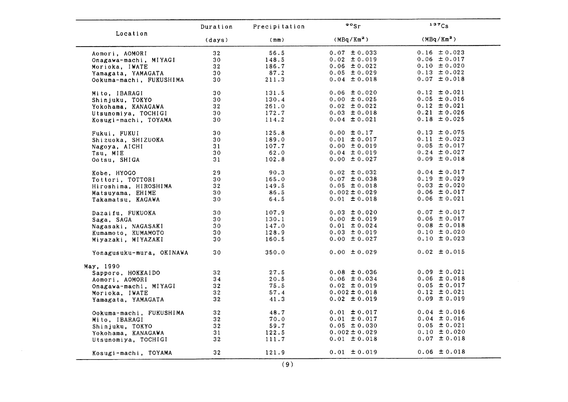|                          | Duration        | Precipitation | $\cdot \cdot$          | 137Cs                  |
|--------------------------|-----------------|---------------|------------------------|------------------------|
| Location                 | (days)          | (mm)          | (MBq/Km <sup>2</sup> ) | (MBq/Km <sup>2</sup> ) |
| Aomori, AOMORI           | 32 <sub>2</sub> | 56.5          | $0.07 \pm 0.033$       | $0.16 \pm 0.023$       |
| Onagawa-machi, MIYAGI    | 30 <sub>o</sub> | 148.5         | $0.02 \pm 0.019$       | $0.06 \pm 0.017$       |
| Morioka, IWATE           | 32 <sub>2</sub> | 186.7         | $0.06 \pm 0.022$       | $0.10 \pm 0.020$       |
| Yamagata, YAMAGATA       | 30              | 87.2          | $0.05 \pm 0.029$       | $0.13 \pm 0.022$       |
| Ookuma-machi, FUKUSHIMA  | 30              | 211.3         | $0.04 \pm 0.018$       | $0.07 \pm 0.018$       |
| Mito, IBARAGI            | 30              | 131.5         | $0.06 \pm 0.020$       | $0.12 \pm 0.021$       |
| Shinjuku, TOKYO          | 30              | 130.4         | $0.00 \pm 0.025$       | $0.05 \pm 0.016$       |
| Yokohama, KANAGAWA       | 32 <sub>2</sub> | 261.0         | $0.02 \pm 0.022$       | $0.12 \pm 0.021$       |
| Utsunomiya, TOCHIGI      | 30              | 172.7         | $0.03 \pm 0.018$       | $0.21 \pm 0.026$       |
| Kosugi-machi, TOYAMA     | 30              | 114.2         | $0.04 \pm 0.021$       | $0.18 \pm 0.025$       |
| Fukui, FUKUI             | 30              | 125.8         | $0.00 \pm 0.17$        | $0.13 \pm 0.075$       |
| Shizuoka, SHIZUOKA       | 30              | 189.0         | $0.01 \pm 0.017$       | $0.11 \pm 0.023$       |
| Nagoya, AICHI            | 31              | 107.7         | $0.00 \pm 0.019$       | $0.05 \pm 0.017$       |
| Tsu, MIE                 | 30              | 62.0          | $0.04 \pm 0.019$       | $0.24 \pm 0.027$       |
| Ootsu, SHIGA             | 31              | 102.8         | $0.00 \pm 0.027$       | $0.09 \pm 0.018$       |
| Kobe, HYOGO              | 29              | 90.3          | $0.02 \pm 0.032$       | $0.04 \pm 0.017$       |
| Tottori, TOTTORI         | 30              | 165.0         | $0.07 \pm 0.038$       | $0.19 \pm 0.029$       |
| Hiroshima, HIROSHIMA     | 32              | 149.5         | $0.05 \pm 0.018$       | $0.03 \pm 0.020$       |
| Matsuyama, EHIME         | 30              | 86.5          | $0.002 \pm 0.029$      | $0.06 \pm 0.017$       |
| Takamatsu, KAGAWA        | 30              | 64.5          | $0.01 \pm 0.018$       | $0.06 \pm 0.021$       |
| Dazaifu, FUKUOKA         | 30              | 107.9         | $0.03 \pm 0.020$       | $0.07 \pm 0.017$       |
| Saga, SAGA               | 30              | 130.1         | $0.00 \pm 0.019$       | $0.06 \pm 0.017$       |
| Nagasaki, NAGASAKI       | 30              | 147.0         | $0.01 \pm 0.024$       | $0.08 \pm 0.018$       |
| Kumamoto, KUMAMOTO       | 30              | 128.9         | $0.03 \pm 0.019$       | $0.10 \pm 0.020$       |
| Miyazaki, MIYAZAKI       | 30              | 160.5         | $0.00 \pm 0.027$       | $0.10 \pm 0.023$       |
| Yonagusuku-mura, OKINAWA | 30              | 350.0         | $0.00 \pm 0.029$       | $0.02 \pm 0.015$       |
| May, 1990                |                 |               |                        |                        |
| Sapporo, HOKKAIDO        | 32              | 27.5          | $0.08 \pm 0.036$       | $0.09 \pm 0.021$       |
| Aomori, AOMORI           | 34              | 20.5          | $0.06 \pm 0.034$       | $0.06 \pm 0.018$       |
| Onagawa-machi, MIYAGI    | 32 <sub>2</sub> | 75.5          | $0.02 \pm 0.019$       | $0.05 \pm 0.017$       |
| Morioka, IWATE           | 32 <sub>2</sub> | 57.4          | $0.002 \pm 0.018$      | $0.12 \pm 0.021$       |
| Yamagata, YAMAGATA       | 32              | 41.3          | $0.02 \pm 0.019$       | $0.09 \pm 0.019$       |
| Ookuma-machi, FUKUSHIMA  | 32              | 48.7          | $0.01 \pm 0.017$       | $0.04 \pm 0.016$       |
| Mito, IBARAGI            | 32              | 70.0          | $0.01 \pm 0.017$       | $0.04 \pm 0.016$       |
| Shinjuku, TOKYO          | 32              | 59.7          | $0.05 \pm 0.030$       | $0.05 \pm 0.021$       |
| Yokohama, KANAGAWA       | 31              | 122.5         | $0.002 \pm 0.029$      | $0.10 \pm 0.020$       |
| Utsunomiya, TOCHIGI      | 32              | 111.7         | $0.01 \pm 0.018$       | $0.07 \pm 0.018$       |
| Kosugi-machi, TOYAMA     | 32 <sub>2</sub> | 121.9         | $0.01 \pm 0.019$       | $0.06 \pm 0.018$       |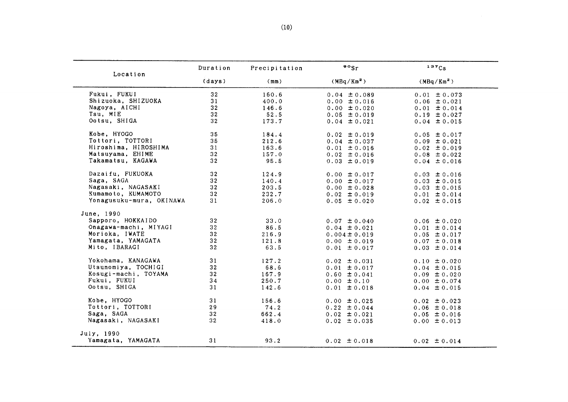| Location                 | Duration        | Precipitation | $\frac{80}{s}$         | 137Cs                  |
|--------------------------|-----------------|---------------|------------------------|------------------------|
|                          | (days)          | (mm)          | (MBq/Km <sup>2</sup> ) | (MBq/Km <sup>2</sup> ) |
| Fukui, FUKUI             | 32              | 160.6         | $0.04 \pm 0.089$       | $0.01 \pm 0.073$       |
| Shizuoka, SHIZUOKA       | 31              | 400.0         | $0.00 \pm 0.016$       | $0.06 \pm 0.021$       |
| Nagoya, AICHI            | 32              | 146.6         | $0.00 \pm 0.020$       | $0.01 \pm 0.014$       |
| Tsu, MIE                 | 32              | 52.5          | $0.05 \pm 0.019$       | $0.19 \pm 0.027$       |
| Ootsu, SHIGA             | 32              | 173.7         | $0.04 \pm 0.021$       | $0.04 \pm 0.015$       |
| Kobe, HYOGO              | 35              | 184.4         | $0.02 \pm 0.019$       | $0.05 \pm 0.017$       |
| Tottori, TOTTORI         | 35              | 212.6         | $0.04 \pm 0.037$       | $0.09 \pm 0.021$       |
| Hiroshima, HIROSHIMA     | 31              | 163.6         | $0.01 \pm 0.016$       | $0.02 \pm 0.019$       |
| Matsuyama, EHIME         | 32              | 157.0         | $0.02 \pm 0.016$       | $0.08 \pm 0.022$       |
| Takamatsu, KAGAWA        | 32              | 95.5          | $0.03 \pm 0.019$       | $0.04 \pm 0.016$       |
| Dazaifu, FUKUOKA         | 32              | 124.9         | $0.00 \pm 0.017$       | $0.03 \pm 0.016$       |
| Saga, SAGA               | 32              | 140.4         | $0.00 \pm 0.017$       | $0.03 \pm 0.015$       |
| Nagasaki, NAGASAKI       | 32              | 203.5         | $0.00 \pm 0.028$       | $0.03 \pm 0.015$       |
| Kumamoto, KUMAMOTO       | 32              | 232.7         | $0.02 \pm 0.019$       | $0.01 \pm 0.014$       |
| Yonagusuku-mura, OKINAWA | 31              | 206.0         | $0.05 \pm 0.020$       | $0.02 \pm 0.015$       |
| June, 1990               |                 |               |                        |                        |
| Sapporo, HOKKAIDO        | 32 <sub>2</sub> | 33.0          | $0.07 \pm 0.040$       | $0.06 \pm 0.020$       |
| Onagawa-machi, MIYAGI    | 32              | 86.5          | $0.04 \pm 0.021$       | $0.01 \pm 0.014$       |
| Morioka, IWATE           | 32              | 216.9         | $0.004 \pm 0.019$      | $0.05 \pm 0.017$       |
| Yamagata, YAMAGATA       | 32 <sub>2</sub> | 121.8         | $0.00 \pm 0.019$       | $0.07 \pm 0.018$       |
| Mito, IBARAGI            | 32              | 63.5          | $0.01 \pm 0.017$       | $0.03 \pm 0.014$       |
| Yokohama, KANAGAWA       | 31              | 127.2         | $0.02 \pm 0.031$       | $0.10 \pm 0.020$       |
| Utsunomiya, TOCHIGI      | 32 <sub>2</sub> | 68.6          | $0.01 \pm 0.017$       | $0.04 \pm 0.015$       |
| Kosugi-machi, TOYAMA     | 32              | 167.9         | $0.60 \pm 0.041$       | $0.09 \pm 0.020$       |
| Fukui, FUKUI             | 34              | 250.7         | $0.00 \pm 0.10$        | $0.00 \pm 0.074$       |
| Ootsu, SHIGA             | 31              | 142.6         | $0.01 \pm 0.018$       | $0.04 \pm 0.015$       |
| Kobe, HYOGO              | 31              | 156.6         | $0.00 \pm 0.025$       | $0.02 \pm 0.023$       |
| Tottori, TOTTORI         | 29              | 74.2          | $0.22 \pm 0.044$       | $0.06 \pm 0.018$       |
| Saga, SAGA               | 32              | 662.4         | $0.02 \pm 0.021$       | $0.05 \pm 0.016$       |
| Nagasaki, NAGASAKI       | 32              | 418.0         | $0.02 \pm 0.035$       | $0.00 \pm 0.013$       |
| July, 1990               |                 |               |                        |                        |
| Yamagata, YAMAGATA       | 31              | 93.2          | $0.02 \pm 0.018$       | $0.02 \pm 0.014$       |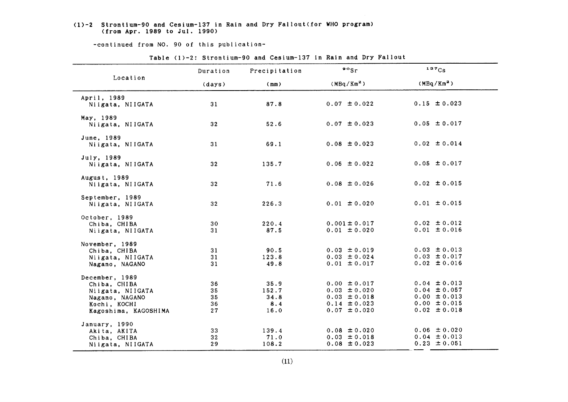#### $(1)-2$  Strontium-90 and Cesium-137 in Rain and Dry Fallout(for WHO program) (from Apr.1989 to Jul.19gO)

-continued from NO. 90 of this publication-

|                                                                                                              | Duration                   | Precipitation                        | $\frac{80}{5}$                                                                                   | 137Cs                                                                                            |
|--------------------------------------------------------------------------------------------------------------|----------------------------|--------------------------------------|--------------------------------------------------------------------------------------------------|--------------------------------------------------------------------------------------------------|
| Location                                                                                                     | (days)                     | (mm)                                 | (MBq/Km <sup>2</sup> )                                                                           | (MBq/Km <sup>2</sup> )                                                                           |
| April, 1989<br>Niigata, NIIGATA                                                                              | 31                         | 87.8                                 | $0.07 \pm 0.022$                                                                                 | $0.15 \pm 0.023$                                                                                 |
| May, 1989<br>Niigata, NIIGATA                                                                                | 32 <sub>2</sub>            | 52.6                                 | $0.07 \pm 0.023$                                                                                 | $0.05 \pm 0.017$                                                                                 |
| June, 1989<br>Niigata, NIIGATA                                                                               | 31                         | 69.1                                 | $0.08 \pm 0.023$                                                                                 | $0.02 \pm 0.014$                                                                                 |
| July. 1989<br>Niigata, NIIGATA                                                                               | 32 <sub>2</sub>            | 135.7                                | $0.06 \pm 0.022$                                                                                 | $0.05 \pm 0.017$                                                                                 |
| August, 1989<br>Niigata, NIIGATA                                                                             | 32                         | 71.6                                 | $0.08 \pm 0.026$                                                                                 | $0.02 \pm 0.015$                                                                                 |
| September, 1989<br>Niigata, NIIGATA                                                                          | 32                         | 226.3                                | $0.01 \pm 0.020$                                                                                 | $0.01 \pm 0.015$                                                                                 |
| October, 1989<br>Chiba, CHIBA<br>Niigata, NIIGATA                                                            | 30<br>31                   | 220.4<br>87.5                        | $0.001 \pm 0.017$<br>$0.01 \pm 0.020$                                                            | $0.02 \pm 0.012$<br>$0.01 \pm 0.016$                                                             |
| November, 1989<br>Chiba, CHIBA<br>Niigata, NIIGATA<br>Nagano, NAGANO                                         | 31<br>31<br>31             | 90.5<br>123.8<br>49.8                | $0.03 \pm 0.019$<br>$0.03 \pm 0.024$<br>$0.01 \pm 0.017$                                         | $0.03 \pm 0.013$<br>$0.03 \pm 0.017$<br>$0.02 \pm 0.016$                                         |
| December, 1989<br>Chiba, CHIBA<br>Niigata, NIIGATA<br>Nagano, NAGANO<br>Kochi, KOCHI<br>Kagoshima, KAGOSHIMA | 36<br>35<br>35<br>36<br>27 | 35.9<br>152.7<br>34.8<br>8.4<br>16.0 | $0.00 \pm 0.017$<br>$0.03 \pm 0.020$<br>$0.03 \pm 0.018$<br>$0.14 \pm 0.023$<br>$0.07 \pm 0.020$ | $0.04 \pm 0.013$<br>$0.04 \pm 0.057$<br>$0.00 \pm 0.013$<br>$0.00 \pm 0.015$<br>$0.02 \pm 0.018$ |
| January, 1990<br>Akita, AKITA<br>Chiba, CHIBA<br>Niigata, NIIGATA                                            | 33<br>32<br>29             | 139.4<br>71.0<br>108.2               | $0.08 \pm 0.020$<br>$0.03 \pm 0.018$<br>$0.08 \pm 0.023$                                         | $0.06 \pm 0.020$<br>$0.04 \pm 0.013$<br>$0.23 \pm 0.051$                                         |

Table (1)-2: Strontium-90 and Cesium-137 in Rain and Dry Fallout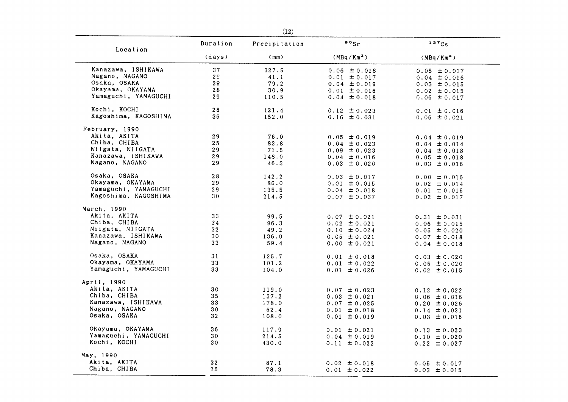| Location             | Duration | Precipitation | $\circ$ sr             | 137Cs            |
|----------------------|----------|---------------|------------------------|------------------|
|                      | (days)   | (mm)          | (MBq/Km <sup>2</sup> ) | $(MBq/Km^2)$     |
| Kanazawa, ISHIKAWA   | 37       | 327.5         | $0.06 \pm 0.018$       | $0.05 \pm 0.017$ |
| Nagano, NAGANO       | 29       | 41.1          | $0.01 \pm 0.017$       | $0.04 \pm 0.016$ |
| Osaka, OSAKA         | 29       | 79.2          | $0.04 \pm 0.019$       | $0.03 \pm 0.015$ |
| Okayama, OKAYAMA     | 28       | 30.9          | $0.01 \pm 0.016$       | $0.02 \pm 0.015$ |
| Yamaguchi, YAMAGUCHI | 29       | 110.5         | $0.04 \pm 0.018$       | $0.06 \pm 0.017$ |
| Kochi, KOCHI         | 28       | 121.4         | $0.12 \pm 0.023$       | $0.01 \pm 0.016$ |
| Kagoshima, KAGOSHIMA | 36       | 152.0         | $0.16 \pm 0.031$       | $0.06 \pm 0.021$ |
| February, 1990       |          |               |                        |                  |
| Akita, AKITA         | 29       | 76.0          | $0.05 \pm 0.019$       | $0.04 \pm 0.019$ |
| Chiba, CHIBA         | 25       | 83.8          | $0.04 \pm 0.023$       | $0.04 \pm 0.014$ |
| Niigata, NIIGATA     | 29       | 71.5          | $0.09 \pm 0.023$       | $0.04 \pm 0.018$ |
| Kanazawa, ISHIKAWA   | 29       | 148.0         | $0.04 \pm 0.016$       | $0.05 \pm 0.018$ |
| Nagano, NAGANO       | 29       | 46.3          | $0.03 \pm 0.020$       | $0.03 \pm 0.016$ |
| Osaka, OSAKA         | $2\,8$   | 142.2         | $0.03 \pm 0.017$       | $0.00 \pm 0.016$ |
| Okayama, OKAYAMA     | 29       | 86.0          | $0.01 \pm 0.015$       | $0.02 \pm 0.014$ |
| Yamaguchi, YAMAGUCHI | 29       | 135.5         | $0.04 \pm 0.018$       | $0.01 \pm 0.015$ |
| Kagoshima, KAGOSHIMA | 30       | 214.5         | $0.07 \pm 0.037$       | $0.02 \pm 0.017$ |
| March, 1990          |          |               |                        |                  |
| Akita, AKITA         | 33       | 99.5          | $0.07 \pm 0.021$       | $0.31 \pm 0.031$ |
| Chiba, CHIBA         | 34       | 96.3          | $0.02 \pm 0.021$       | $0.06 \pm 0.015$ |
| Niigata, NIIGATA     | 32       | 49.2          | $0.10 \pm 0.024$       | $0.05 \pm 0.020$ |
| Kanazawa, ISHIKAWA   | 30       | 136.0         | $0.05 \pm 0.021$       | $0.07 \pm 0.018$ |
| Nagano, NAGANO       | 33       | 59.4          | $0.00 \pm 0.021$       | $0.04 \pm 0.018$ |
| Osaka, OSAKA         | 31       | 125.7         | $0.01 \pm 0.018$       | $0.03 \pm 0.020$ |
| Okayama, OKAYAMA     | 33       | 101.2         | $0.01 \pm 0.022$       | $0.05 \pm 0.020$ |
| Yamaguchi, YAMAGUCHI | 33       | 104.0         | $0.01 \pm 0.026$       | $0.02 \pm 0.015$ |
| April, 1990          |          |               |                        |                  |
| Akita, AKITA         | 30       | 119.0         | $0.07 \pm 0.023$       | $0.12 \pm 0.022$ |
| Chiba, CHIBA         | 35       | 137.2         | $0.03 \pm 0.021$       | $0.06 \pm 0.016$ |
| Kanazawa, ISHIKAWA   | 33       | 178.0         | $0.07 \pm 0.025$       | $0.20 \pm 0.026$ |
| Nagano, NAGANO       | 30       | 62.4          | $0.01 \pm 0.018$       | $0.14 \pm 0.021$ |
| Osaka, OSAKA         | 32       | 108.0         | $0.01 \pm 0.019$       | $0.03 \pm 0.016$ |
| Okayama, OKAYAMA     | 36       | 117.9         | $0.01 \pm 0.021$       | $0.13 \pm 0.023$ |
| Yamaguchi, YAMAGUCHI | 30       | 214.5         | $0.04 \pm 0.019$       | $0.10 \pm 0.020$ |
| Kochi, KOCHI         | 30       | 430.0         | $0.11 \pm 0.022$       | $0.22 \pm 0.027$ |
| May, 1990            |          |               |                        |                  |
| Akita, AKITA         | 32       | 87.1          | $0.02 \pm 0.018$       | $0.05 \pm 0.017$ |
| Chiba, CHIBA         | 26       | 78.3          | $0.01 \pm 0.022$       | $0.03 \pm 0.015$ |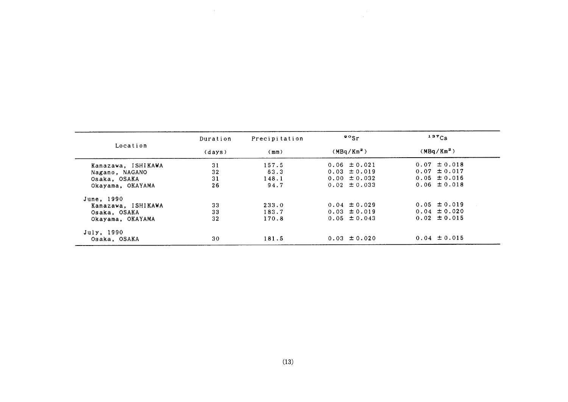| Location           | Duration | Precipitation | $\cdot$ $\cdot$ sr     | $137C_S$               |
|--------------------|----------|---------------|------------------------|------------------------|
|                    | (days)   | (mm)          | (MBa/Km <sup>2</sup> ) | (MBq/Km <sup>2</sup> ) |
| Kanazawa, ISHIKAWA | 31       | 157.5         | $0.06 \pm 0.021$       | $0.07 \pm 0.018$       |
| Nagano, NAGANO     | 32       | 63.3          | $0.03 \pm 0.019$       | $0.07 \pm 0.017$       |
| Osaka, OSAKA       | 31       | 148.1         | $0.00 \pm 0.032$       | $0.05 \pm 0.016$       |
| Okayama, OKAYAMA   | 26       | 94.7          | $0.02 \pm 0.033$       | $0.06 \pm 0.018$       |
| June, 1990         |          |               |                        |                        |
| Kanazawa, ISHIKAWA | 33       | 233.0         | $0.04 \pm 0.029$       | $0.05 \pm 0.019$       |
| Osaka, OSAKA       | 33       | 183.7         | $0.03 \pm 0.019$       | $0.04 \pm 0.020$       |
| Okayama, OKAYAMA   | 32       | 170.8         | $0.05 \pm 0.043$       | $0.02 \pm 0.015$       |
| July, 1990         |          |               |                        |                        |
| Osaka, OSAKA       | 30       | 181.5         | $0.03 \pm 0.020$       | $0.04 \pm 0.015$       |

 $\label{eq:2} \frac{1}{\sqrt{2}}\left(\frac{1}{\sqrt{2}}\right)^{2} \frac{1}{\sqrt{2}}\left(\frac{1}{\sqrt{2}}\right)^{2}$ 

 $\sim 10^{-1}$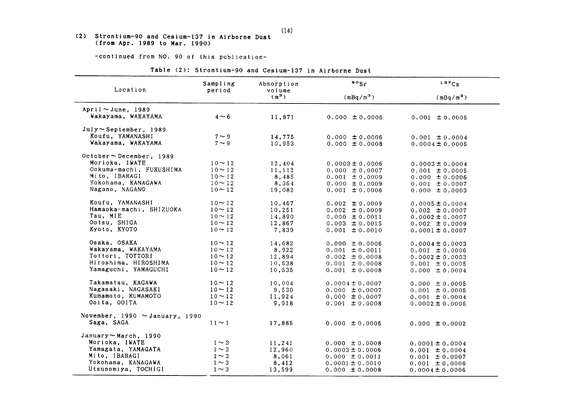#### (2) Strontium-90 and Cesium-137 in Airborne Dust (from Apr. 1989 to Mar. 1990)

-continued from NO. 90 of this publication-

|  | Table (2): Strontium-90 and Cesium-137 in Airborne Dust |  |  |  |
|--|---------------------------------------------------------|--|--|--|
|  |                                                         |  |  |  |

| Location                            | Sampling<br>period | Absorption<br>volume | $\frac{80}{5}$      | 137Cs               |
|-------------------------------------|--------------------|----------------------|---------------------|---------------------|
|                                     |                    | $(m^3)$              | $(mBq/m^3)$         | $(mBq/m^3)$         |
| April $\sim$ June, 1989             |                    |                      |                     |                     |
| Wakayama, WAKAYAMA                  | $4 \sim 6$         | 11,871               | $0.000 \pm 0.0006$  | $0.001 \pm 0.0005$  |
| $July \sim September$ , 1989        |                    |                      |                     |                     |
| Koufu, YAMANASHI                    | $7 \sim 9$         | 14,775               | $0.000 \pm 0.0006$  | $0.001 \pm 0.0004$  |
| Wakayama, WAKAYAMA                  | $7 \sim 9$         | 10,953               | $0.000 \pm 0.0008$  | $0.0004 \pm 0.0005$ |
| October ~ December, 1989            |                    |                      |                     |                     |
| Morioka, IWATE                      | $10 - 12$          | 12,404               | $0.0003 \pm 0.0006$ | $0.0003 \pm 0.0004$ |
| Ookuma-machi, FUKUSHIMA             | $10 \sim 12$       | 11,112               | $0.000 \pm 0.0007$  | $0.001 \pm 0.0005$  |
| Mito, IBARAGI                       | $10 \sim 12$       | 8,485                | $0.001 \pm 0.0009$  | $0.000 \pm 0.0006$  |
| Yokohama, KANAGAWA                  | $10 - 12$          | 8,364                | $0.000 \pm 0.0009$  | $0.001 \pm 0.0007$  |
| Nagano, NAGANO                      | $10 - 12$          | 19,082               | $0.001 \pm 0.0006$  | $0.000 \pm 0.0003$  |
| Koufu, YAMANASHI                    | $10 - 12$          | 10,467               | $0.002 \pm 0.0009$  | $0.0005 \pm 0.0004$ |
| Hamaoka-machi, SHIZUOKA             | $10 \sim 12$       | 10,251               | $0.002 \pm 0.0009$  | $0.002 \pm 0.0007$  |
| Tsu, MIE                            | $10 \sim 12$       | 14,890               | $0.000 \pm 0.0011$  | $0.0002 \pm 0.0007$ |
| Ootsu, SHIGA                        | $10 \sim 12$       | 12,867               | $0.003 \pm 0.0015$  | $0.002 \pm 0.0009$  |
| Kyoto, KYOTO                        | $10 \sim 12$       | 7,839                | $0.001 \pm 0.0010$  | $0.0001 \pm 0.0007$ |
| Osaka, OSAKA                        | $10 \sim 12$       | 14,682               | $0.000 \pm 0.0006$  | $0.0004 \pm 0.0003$ |
| Wakayama, WAKAYAMA                  | $10 \sim 12$       | 8,922                | $0.001 \pm 0.0011$  | $0.001 \pm 0.0006$  |
| Tottori, TOTTORI                    | $10 \sim 12$       | 12,894               | $0.002 \pm 0.0008$  | $0.0002 \pm 0.0003$ |
| Hiroshima, HIROSHIMA                | $10 \sim 12$       | 10,538               | $0.001 \pm 0.0008$  | $0.001 \pm 0.0005$  |
| Yamaguchi, YAMAGUCHI                | $10 \sim 12$       | 10,535               | $0.001 \pm 0.0008$  | $0.000 \pm 0.0004$  |
| Takamatsu, KAGAWA                   | $10 \sim 12$       | 10,004               | $0.0004 \pm 0.0007$ | $0.000 \pm 0.0005$  |
| Nagasaki, NAGASAKI                  | $10 \sim 12$       | 9,530                | $0.000 \pm 0.0007$  | $0.001 \pm 0.0005$  |
| Kumamoto, KUMAMOTO                  | $10 \sim 12$       | 11,924               | $0.000 \pm 0.0007$  | $0.001 \pm 0.0004$  |
| Ooita, OOITA                        | $10 \sim 12$       | 9,918                | $0.001 \pm 0.0008$  | $0.0002 \pm 0.0005$ |
| November, 1990 $\sim$ January, 1990 |                    |                      |                     |                     |
| Saga, SAGA                          | $11 \sim 1$        | 17,885               | $0.000 \pm 0.0006$  | $0.000 \pm 0.0002$  |
| January $\sim$ March, 1990          |                    |                      |                     |                     |
| Morioka, IWATE                      | $1 \sim 3$         | 11,241               | $0.000 \pm 0.0008$  | $0.0001 \pm 0.0004$ |
| Yamagata, YAMAGATA                  | $1 \sim 3$         | 12,960               | $0.0003 \pm 0.0006$ | $0.001 \pm 0.0004$  |
| Mito, IBARAGI                       | $1 \sim 3$         | 8,061                | $0.000 \pm 0.0011$  | $0.001 \pm 0.0007$  |
| Yokohama, KANAGAWA                  | $1 \sim 3$         | 8,412                | $0.0001 \pm 0.0010$ | $0.001 \pm 0.0006$  |
| Utsunomiya, TOCHIGI                 | $1 \sim 3$         | 13,599               | $0.000 \pm 0.0008$  | $0.0004 \pm 0.0006$ |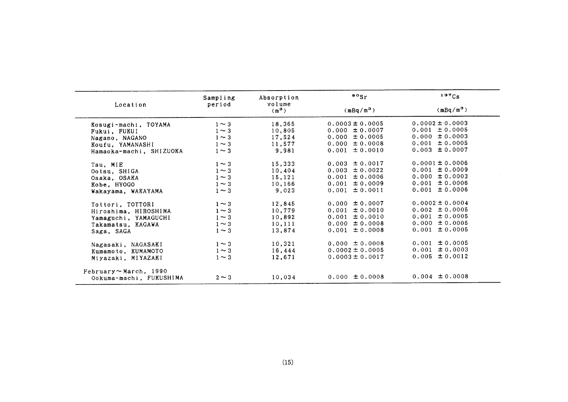|                         | Sampling   | Absorption        | $\frac{80}{5}$      | $137C_S$            |
|-------------------------|------------|-------------------|---------------------|---------------------|
| Location                | period     | volume<br>$(m^3)$ | $(mBq/m^3)$         | $(mBq/m^3)$         |
| Kosugi-machi, TOYAMA    | $1 \sim 3$ | 18,365            | $0.0003 \pm 0.0005$ | $0.0002 \pm 0.0003$ |
| Fukui, FUKUI            | $1 \sim 3$ | 10,805            | $0.000 \pm 0.0007$  | $0.001 \pm 0.0005$  |
| Nagano, NAGANO          | $1 \sim 3$ | 17,524            | $0.000 \pm 0.0005$  | $0.000 \pm 0.0003$  |
| Koufu. YAMANASHI        | $1 \sim 3$ | 11.577            | $0.000 \pm 0.0008$  | $0.001 \pm 0.0005$  |
| Hamaoka-machi, SHIZUOKA | $1 \sim 3$ | 9,981             | $0.001 \pm 0.0010$  | $0.003 \pm 0.0007$  |
| Tsu, MIE                | $1 \sim 3$ | 15,333            | $0.003 \pm 0.0017$  | $0.0001 \pm 0.0006$ |
| Ootsu, SHIGA            | $1 \sim 3$ | 10,404            | $0.003 \pm 0.0022$  | $0.001 \pm 0.0009$  |
| Osaka, OSAKA            | $1 \sim 3$ | 15,121            | $0.001 \pm 0.0006$  | $0.000 \pm 0.0003$  |
| Kobe, HYOGO             | $1 \sim 3$ | 10,166            | $0.001 \pm 0.0009$  | $0.001 \pm 0.0006$  |
| Wakayama, WAKAYAMA      | $1 \sim 3$ | 9,023             | $0.001 \pm 0.0011$  | $0.001 \pm 0.0006$  |
| Tottori, TOTTORI        | $1 \sim 3$ | 12,845            | $0.000 \pm 0.0007$  | $0.0002 \pm 0.0004$ |
| Hiroshima, HIROSHIMA    | $1 \sim 3$ | 10,779            | $0.001 \pm 0.0010$  | $0.002 \pm 0.0005$  |
| Yamaguchi, YAMAGUCHI    | $1 \sim 3$ | 10,892            | $0.001 \pm 0.0010$  | $0.001 \pm 0.0005$  |
| Takamatsu. KAGAWA       | $1 \sim 3$ | 10,111            | $0.000 \pm 0.0008$  | $0.000 \pm 0.0005$  |
| Saga, SAGA              | $1 \sim 3$ | 13,874            | $0.001 \pm 0.0008$  | $0.001 \pm 0.0005$  |
| Nagasaki, NAGASAKI      | $1 \sim 3$ | 10,321            | $0.000 \pm 0.0008$  | $0.001 \pm 0.0005$  |
| Kumamoto, KUMAMOTO      | $1 \sim 3$ | 16,444            | $0.0002 \pm 0.0005$ | $0.001 \pm 0.0003$  |
| Miyazaki, MIYAZAKI      | $1 \sim 3$ | 12,671            | $0.0003 \pm 0.0017$ | $0.005 \pm 0.0012$  |
| February ~ March, 1990  |            |                   |                     |                     |
| Ookuma-machi, FUKUSHIMA | $2 \sim 3$ | 10,034            | $0.000 \pm 0.0008$  | $0.004 \pm 0.0008$  |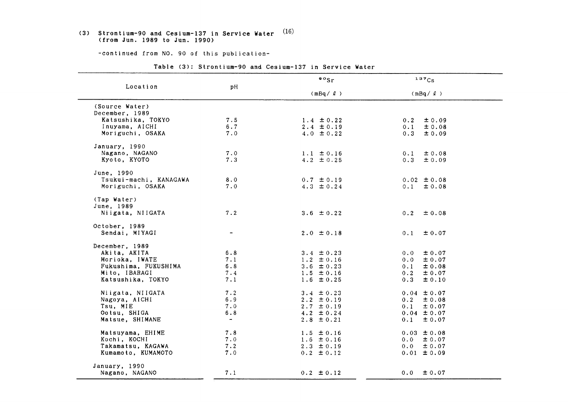### (3) Strontium-90 and Cesium-137 in Service Water  $(16)$ (from Jun. 1989 to Jun. 1990)

-continued from NO. 90 of this publication-

|                        |                              | $\circ \circ$ sr | 137Cs             |  |
|------------------------|------------------------------|------------------|-------------------|--|
| Location               | pH                           | $(mBq / \ell)$   | $(mBq / \ell)$    |  |
| (Source Water)         |                              |                  |                   |  |
| December, 1989         |                              |                  |                   |  |
| Katsushika, TOKYO      | 7.5                          | $1.4 \pm 0.22$   | $\pm 0.09$<br>0.2 |  |
| Inuyama, AICHI         | 6.7                          | $2.4 \pm 0.19$   | 0.1<br>$\pm$ 0.08 |  |
| Moriguchi, OSAKA       | 7.0                          | 4.0 $\pm$ 0.22   | 0.3<br>$\pm 0.09$ |  |
| January, 1990          |                              |                  |                   |  |
| Nagano, NAGANO         | 7.0                          | $1.1 \pm 0.16$   | 0.1<br>± 0.08     |  |
| Kyoto, KYOTO           | 7.3                          | 4.2 $\pm$ 0.25   | 0.3<br>±0.09      |  |
| June, 1990             |                              |                  |                   |  |
| Tsukui-machi, KANAGAWA | 8.0                          | $0.7 \pm 0.19$   | $0.02 \pm 0.08$   |  |
| Moriguchi, OSAKA       | 7.0                          | $4.3 \pm 0.24$   | $0.1 \pm 0.08$    |  |
| (Tap Water)            |                              |                  |                   |  |
| June, 1989             |                              |                  |                   |  |
| Niigata, NIIGATA       | 7.2                          | 3.6 $\pm$ 0.22   | $0.2 \pm 0.08$    |  |
| October, 1989          |                              |                  |                   |  |
| Sendai, MIYAGI         | $\qquad \qquad \blacksquare$ | $2.0 \pm 0.18$   | ± 0.07<br>0.1     |  |
| December, 1989         |                              |                  |                   |  |
| Akita, AKITA           | 6.8                          | $3.4 \pm 0.23$   | 0.0<br>$\pm 0.07$ |  |
| Morioka, IWATE         | 7.1                          | $1.2 \pm 0.16$   | $\pm 0.07$<br>0.0 |  |
| Fukushima, FUKUSHIMA   | 6.8                          | 3.6 $\pm$ 0.23   | ± 0.08<br>0.1     |  |
| Mito, IBARAGI          | 7.4                          | $1.5 \pm 0.16$   | 0.2<br>± 0.07     |  |
| Katsushika, TOKYO      | 7.1                          | $1.6 \pm 0.25$   | ± 0.10<br>0.3     |  |
| Niigata, NIIGATA       | 7.2                          | 3.4 $\pm$ 0.23   | $0.04 \pm 0.07$   |  |
| Nagoya, AICHI          | 6.9                          | 2.2 $\pm$ 0.19   | $0.2 \pm 0.08$    |  |
| Tsu, MIE               | 7.0                          | $2.7 \pm 0.19$   | 0.1<br>$\pm 0.07$ |  |
| Ootsu, SHIGA           | 6.8                          | $4.2 \pm 0.24$   | $0.04 \pm 0.07$   |  |
| Matsue, SHIMANE        | $\sim$                       | $2.8 \pm 0.21$   | $0.1 \pm 0.07$    |  |
|                        |                              |                  |                   |  |
| Matsuyama, EHIME       | 7.8                          | $1.5 \pm 0.16$   | $0.03 \pm 0.08$   |  |
| Kochi, KOCHI           | 7.0                          | $1.6 \pm 0.16$   | $0.0 \pm 0.07$    |  |
| Takamatsu. KAGAWA      | 7.2                          | $2.3 \pm 0.19$   | $0.0 \pm 0.07$    |  |
| Kumamoto, KUMAMOTO     | 7.0                          | $0.2 \pm 0.12$   | $0.01 \pm 0.09$   |  |
| January, 1990          |                              |                  |                   |  |
| Nagano, NAGANO         | 7.1                          | $0.2 \pm 0.12$   | $\pm 0.07$<br>0.0 |  |

Table (3): Strontium-90 and Cesium-137 in Service Water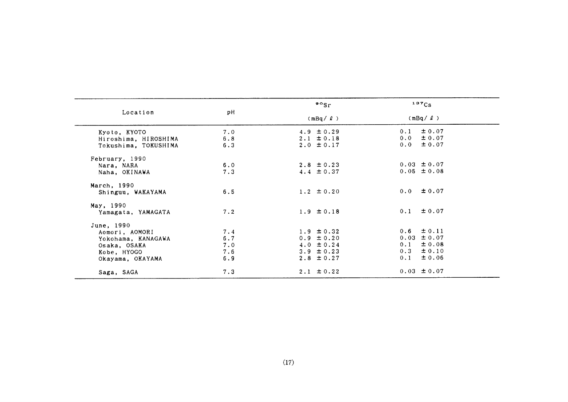|                      |       | $\frac{90}{5}$ | $137C_S$          |  |
|----------------------|-------|----------------|-------------------|--|
| Location             | pH    | $(mBq / \ell)$ | $(mBq / \ell)$    |  |
| Kyoto, KYOTO         | 7.0   | 4.9 $\pm 0.29$ | $\pm 0.07$<br>0.1 |  |
| Hiroshima, HIROSHIMA | 6.8   | $2.1 \pm 0.18$ | $\pm 0.07$<br>0.0 |  |
| Tokushima, TOKUSHIMA | 6.3   | $2.0 \pm 0.17$ | ± 0.07<br>0.0     |  |
| February, 1990       |       |                |                   |  |
| Nara, NARA           | 6.0   | $2.8 \pm 0.23$ | $0.03 \pm 0.07$   |  |
| Naha, OKINAWA        | 7.3   | $4.4 \pm 0.37$ | $0.05 \pm 0.08$   |  |
| March, 1990          |       |                |                   |  |
| Shinguu, WAKAYAMA    | 6.5   | $1.2 \pm 0.20$ | $0.0 \pm 0.07$    |  |
| May, 1990            |       |                |                   |  |
| Yamagata, YAMAGATA   | 7.2   | $1.9 \pm 0.18$ | $0.1 \pm 0.07$    |  |
| June, 1990           |       |                |                   |  |
| Aomori, AOMORI       | 7.4   | $1.9 \pm 0.32$ | $0.6 \pm 0.11$    |  |
| Yokohama, KANAGAWA   | $6.7$ | $0.9 \pm 0.20$ | $0.03 \pm 0.07$   |  |
| Osaka, OSAKA         | 7.0   | $4.0 \pm 0.24$ | $\pm 0.08$<br>0.1 |  |
| Kobe, HYOGO          | 7.6   | $3.9 \pm 0.23$ | $0.3 \pm 0.10$    |  |
| Okayama, OKAYAMA     | 6.9   | $2.8 \pm 0.27$ | ± 0.06<br>0.1     |  |
| Saga, SAGA           | 7.3   | $2.1 \pm 0.22$ | $0.03 \pm 0.07$   |  |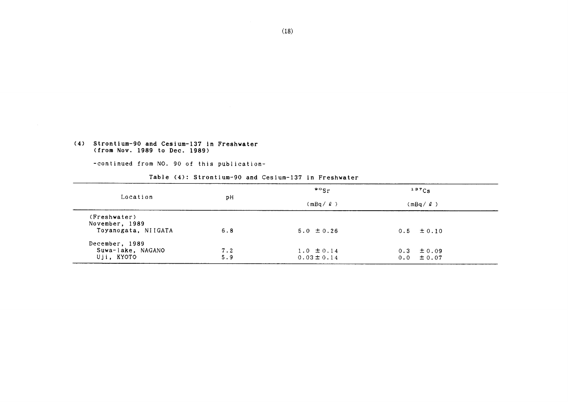#### (4) Strontium-90 and Cesium-137 in Freshwater (from Nov. 1989 to Dec. 1989)

-COntinued from NO.90 0f this publication-

#### Table (4): Strontium-90 and Cesium-137 in Freshwater

|                                                       |            | $\cdot \cdot$<br>137C <sub>S</sub> |                                  |  |
|-------------------------------------------------------|------------|------------------------------------|----------------------------------|--|
| Location                                              | рH         | $(mBa / \ell)$                     | (mBq / 2)                        |  |
| (Freshwater)<br>November, 1989<br>Toyanogata, NIIGATA | 6.8        | $5.0 \pm 0.26$                     | $0.5 \pm 0.10$                   |  |
| December, 1989<br>Suwa-lake, NAGANO<br>Uji, KYOTO     | 7.2<br>5.9 | $1.0 \pm 0.14$<br>$0.03 \pm 0.14$  | $0.3 \pm 0.09$<br>$0.0 \pm 0.07$ |  |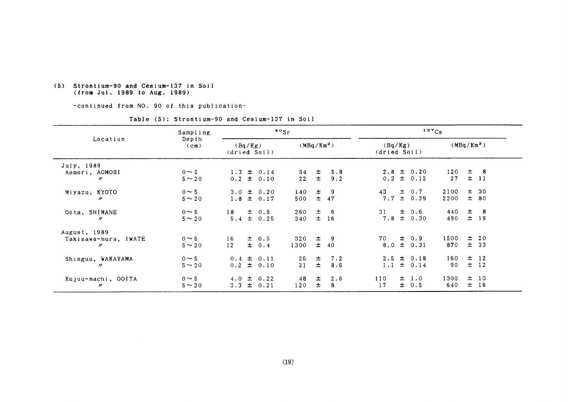#### (5) Strontium-90 and Cesium-137in Soil (fromJul.198g to Aug.1g8g)

-continued from NO. 90 of this publication-

#### Table(5):Strontium-90 and Cesium-137in Soil

|                                  | Sampling                   |                         |  |                                  | $\frac{80}{s}$ |                |                         |     |       |                              | 137Cs     |       |               |
|----------------------------------|----------------------------|-------------------------|--|----------------------------------|----------------|----------------|-------------------------|-----|-------|------------------------------|-----------|-------|---------------|
| Location                         | Depth<br>(c <sub>m</sub> ) | (Bq/Kg)<br>(dried Soil) |  | (MBq/Km <sup>2</sup> )           |                |                | (Bq/Kg)<br>(dried Soil) |     |       | (MBq/Km <sup>2</sup> )       |           |       |               |
| July, 1989                       |                            |                         |  |                                  |                |                |                         |     |       |                              |           |       |               |
| Aomori, AOMORI<br>$\prime\prime$ | $0 \sim 5$<br>$5 \sim 20$  |                         |  | $1.3 \pm 0.14$<br>$0.2 \pm 0.10$ | 54<br>22       | $\pm$<br>$\pm$ | 5.8<br>9.2              | 0.3 |       | $2.8 \pm 0.20$<br>$\pm$ 0.12 | 120<br>27 | $\pm$ | - 8<br>$±$ 11 |
| Miyazu, KYOTO                    | $0 \sim 5$                 |                         |  | $3.0 \pm 0.20$                   | 140            | $\pm$          | -9                      | 43  | $\pm$ | 0.7                          | 2100      |       | $\pm$ 30      |
| $^{\prime\prime}$                | $5 \sim 20$                |                         |  | $1.8 \pm 0.17$                   | 500            | 土              | 47                      | 7.7 |       | $\pm$ 0.29                   | 2200      |       | ± 80          |
| Oota, SHIMANE                    | $0 \sim 5$                 | $18 \pm 0.5$            |  |                                  | 260            | $\pm$          | - 6                     | 31  |       | $\pm$ 0.6                    | 440       | 士     | - 8           |
| n                                | $5 \sim 20$                |                         |  | $5.4 \pm 0.25$                   | 340            | $\pm$          | 16                      | 7.8 |       | ± 0.30                       | 490       |       | $±$ 19        |
| August, 1989                     |                            |                         |  |                                  |                |                |                         |     |       |                              |           |       |               |
| Takisawa-mura, IWATE             | $0 \sim 5$                 | 16                      |  | $\pm$ 0.5                        | 320            | $\pm$          | 9                       | 70  |       | $\pm$ 0.9                    | 1500      | 士     | 20            |
| $^{\prime\prime}$                | $5 \sim 20$                | 12                      |  | $\pm$ 0.4                        | 1300           | $\pm$          | 40                      |     |       | $8.0 \pm 0.31$               | 870       |       | $\pm$ 33      |
| Shinguu, WAKAYAMA                | $0 \sim 5$                 |                         |  | $0.4 \pm 0.11$                   | 26             | 士              | 7.2                     |     |       | $2.5 \pm 0.18$               | 160       |       | $\pm$ 12      |
| $\prime\prime$                   | $5 \sim 20$                |                         |  | $0.2 \pm 0.10$                   | 21             | $\pm$          | 8.6                     | 1.1 |       | $\pm$ 0.14                   | 90        |       | $\pm$ 12      |
| Kujuu-machi, OOITA               | $0 \sim 5$                 |                         |  | $4.0 \pm 0.22$                   | 48             | 士              | 2.6                     | 110 |       | $\pm$ 1.0                    | 1300      |       | $\pm$ 10      |
| $^{\prime\prime}$                | $5 \sim 20$                | 3.3                     |  | $\pm$ 0.21                       | 120            | $\pm$          | 8                       | 17  | $\pm$ | 0.5                          | 640       |       | $\pm$ 16      |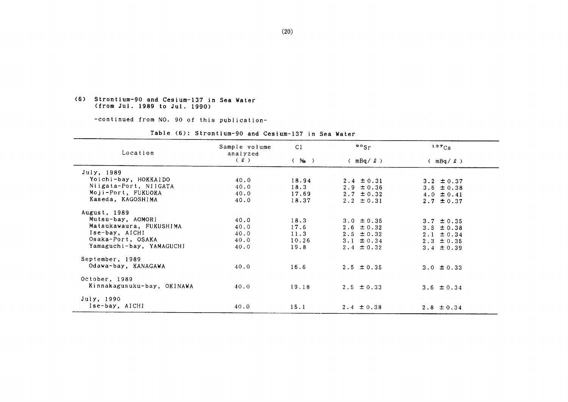#### (6) Strontium-90 and Cesium-137 in Sea Water (from Jul. 1989 to Jul. 1990)

-continued from NO. 90 of this publication-

| Location                   | Sample volume<br>analyzed | C <sub>1</sub> | $\frac{80}{5}$ | 137Cs          |
|----------------------------|---------------------------|----------------|----------------|----------------|
|                            | (2)                       | $($ % )        | $(mBq / \ell)$ | (mBq / 2)      |
| July, 1989                 |                           |                |                |                |
| Yoichi-bay, HOKKAIDO       | 40.0                      | 18.94          | $2.4 \pm 0.31$ | $3.2 \pm 0.37$ |
| Niigata-Port, NIIGATA      | 40.0                      | 18.3           | $2.9 \pm 0.36$ | 3.6 $\pm$ 0.38 |
| Moji-Port, FUKUOKA         | 40.0                      | 17.69          | $2.7 \pm 0.32$ | $4.0 \pm 0.41$ |
| Kaseda, KAGOSHIMA          | 40.0                      | 18.37          | $2.2 \pm 0.31$ | 2.7 $\pm$ 0.37 |
| August, 1989               |                           |                |                |                |
| Mutsu-bay, AOMORI          | 40.0                      | 18.3           | $3.0 \pm 0.35$ | $3.7 \pm 0.35$ |
| Matsukawaura, FUKUSHIMA    | 40.0                      | 17.6           | $2.6 \pm 0.32$ | $3.5 \pm 0.38$ |
| Ise-bay, AICHI             | 40.0                      | 11.3           | $2.5 \pm 0.32$ | $2.1 \pm 0.34$ |
| Osaka-Port, OSAKA          | 40.0                      | 10.26          | $3.1 \pm 0.34$ | $2.3 \pm 0.35$ |
| Yamaguchi-bay, YAMAGUCHI   | 40.0                      | 19.8           | $2.4 \pm 0.32$ | $3.4 \pm 0.39$ |
| September, 1989            |                           |                |                |                |
| Odawa-bay, KANAGAWA        | 40.0                      | 16.6           | $2.5 \pm 0.35$ | $3.0 \pm 0.33$ |
| October, 1989              |                           |                |                |                |
| Kinnakagusuku-bay, OKINAWA | 40.0                      | 19.18          | $2.5 \pm 0.33$ | $3.6 \pm 0.34$ |
| July, 1990                 |                           |                |                |                |
| Ise-bay, AICHI             | 40.0                      | 15.1           | $2.4 \pm 0.38$ | $2.8 \pm 0.34$ |

Table (6): Strontium-90 and Cesium-137 in Sea Water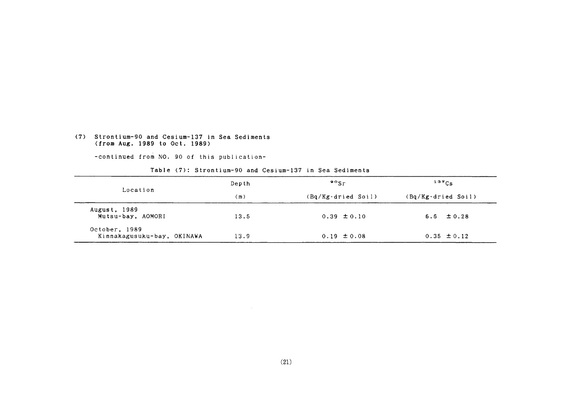### (7) Strontium-90 and Cesium-137 in Sea Sediments (from Aug. 1989 to Oct. 1989)

-COntinued from NO.90 0f this publication-

#### Table (7): Strontium-90 and Cesium-137 in Sea Sediments

 $\sim 1000$ 

|                                             | Depth | $\mathfrak{so}_{\mathrm{Sr}}$ | $137C_S$                     |
|---------------------------------------------|-------|-------------------------------|------------------------------|
| Location                                    | (m)   | $(Bq/Kg \cdot d$ ried Soil)   | $(Bq/Kg \cdot dr i ed$ Soil) |
| August, 1989<br>Mutsu-bay, AOMORI           | 13.5  | $0.39 \pm 0.10$               | $6.6 \pm 0.28$               |
| October, 1989<br>Kinnakagusuku-bay, OKINAWA | 13.9  | $0.19 \pm 0.08$               | $0.35 \pm 0.12$              |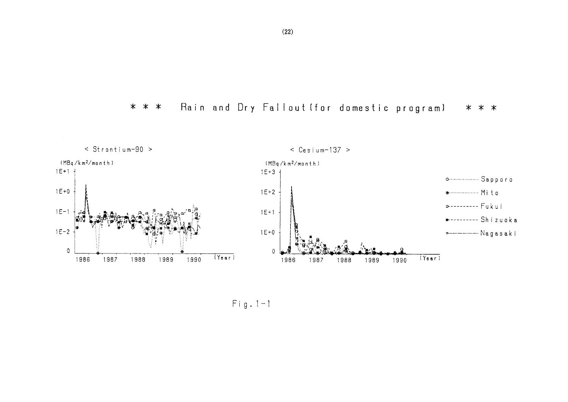Rain and Dry Fallout (for domestic program) \* \* \* \* \* \*



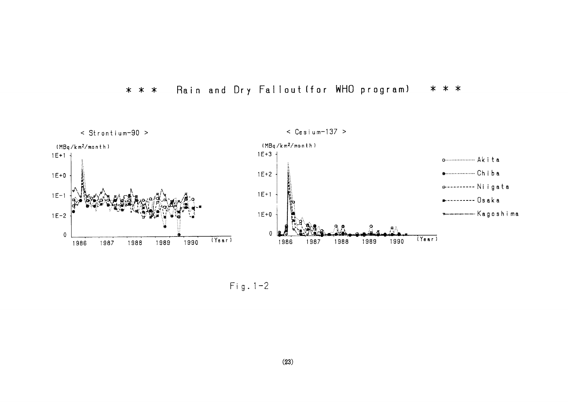

#### Rain and Dry Fallout (for WHO program)  $* * *$ \* \* \*

 $Fig. 1-2$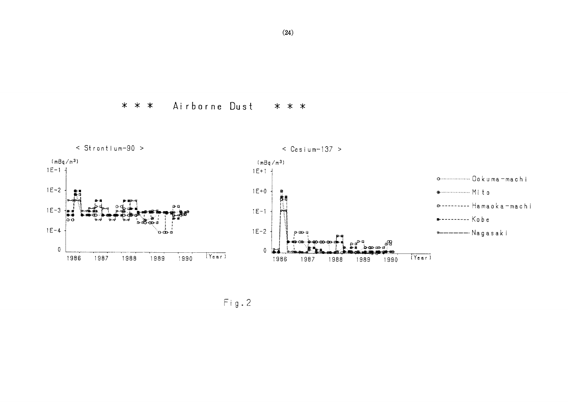Airborne Dust \* \* \* \* \* \*



 $Fig. 2$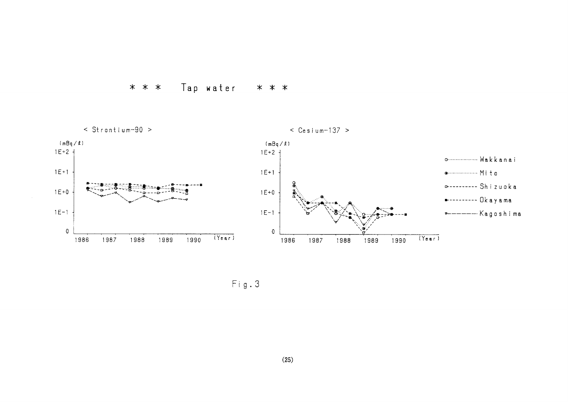



 $Fig. 3$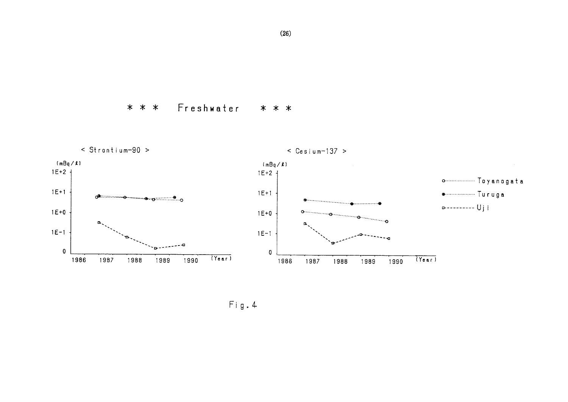Freshwater \* \* \* \* \* \*



 $Fig. 4$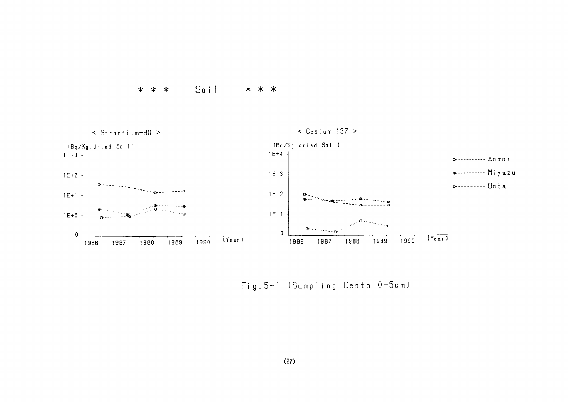



Fig. 5-1 (Sampling Depth 0-5cm)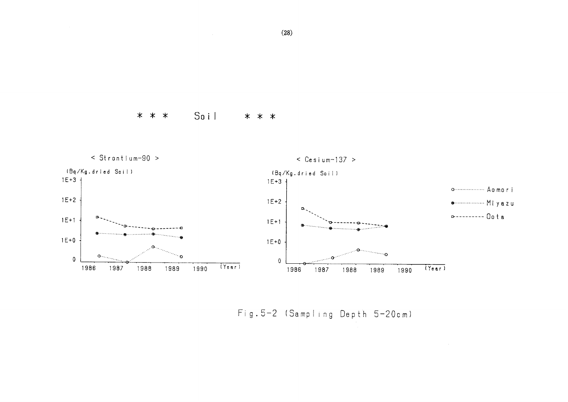$S$ o i l \* \* \* \* \* \*

 $\sim$   $\sim$ 



Fig. 5-2 (Sampling Depth 5-20cm)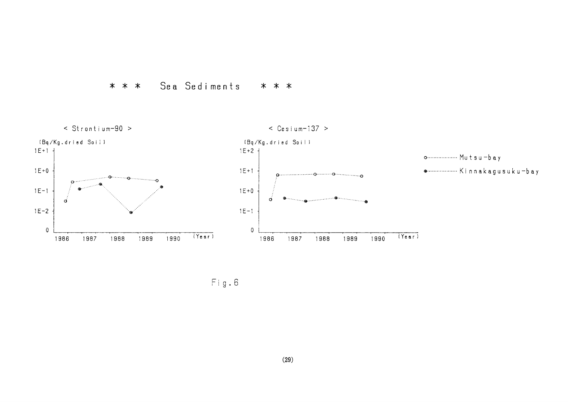



 $Fig. 6$